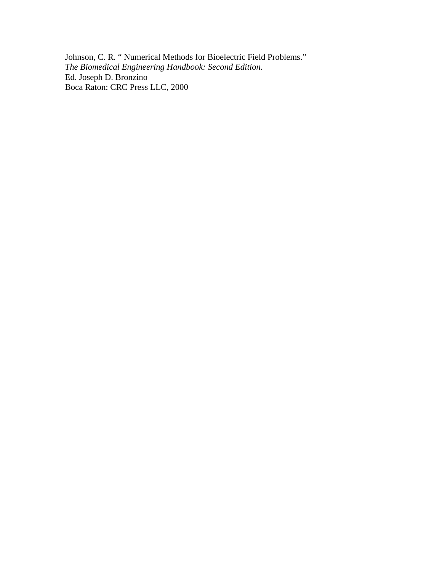Johnson, C. R. " Numerical Methods for Bioelectric Field Problems." *The Biomedical Engineering Handbook: Second Edition.* Ed. Joseph D. Bronzino Boca Raton: CRC Press LLC, 2000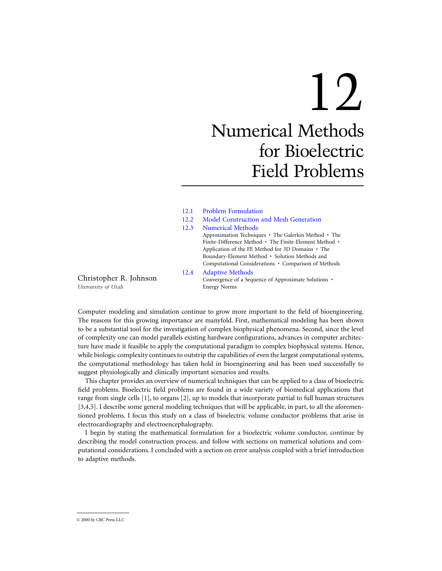# 12 Numerical Methods for Bioelectric Field Problems

12.1 [Problem Formulation](#page-2-0)

12.2 [Model Construction and Mesh Generation](#page-3-0)

12.3 [Numerical Methods](#page-4-0)

Approximation Techniques • The Galerkin Method • The Finite-Difference Method • The Finite-Element Method • Application of the FE Method for 3D Domains • The Boundary-Element Method • Solution Methods and Computational Considerations • Comparison of Methods

Christopher R. Johnson *University of Utah*

12.4 [Adaptive Methods](#page-14-0) Convergence of a Sequence of Approximate Solutions • Energy Norms

Computer modeling and simulation continue to grow more important to the field of bioengineering. The reasons for this growing importance are manyfold. First, mathematical modeling has been shown to be a substantial tool for the investigation of complex biophysical phenomena. Second, since the level of complexity one can model parallels existing hardware configurations, advances in computer architecture have made it feasible to apply the computational paradigm to complex biophysical systems. Hence, while biologic complexity continues to outstrip the capabilities of even the largest computational systems, the computational methodology has taken hold in bioengineering and has been used successfully to suggest physiologically and clinically important scenarios and results.

This chapter provides an overview of numerical techniques that can be applied to a class of bioelectric field problems. Bioelectric field problems are found in a wide variety of biomedical applications that range from single cells [1], to organs [2], up to models that incorporate partial to full human structures [3,4,5]. I describe some general modeling techniques that will be applicable, in part, to all the aforementioned problems. I focus this study on a class of bioelectric volume conductor problems that arise in electrocardiography and electroencephalography.

I begin by stating the mathematical formulation for a bioelectric volume conductor, continue by describing the model construction process, and follow with sections on numerical solutions and computational considerations. I concluded with a section on error analysis coupled with a brief introduction to adaptive methods.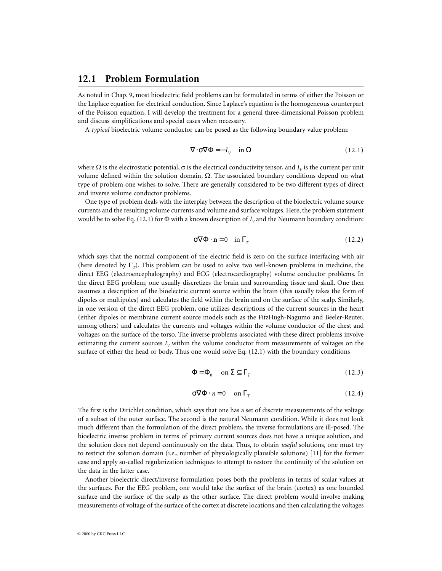## <span id="page-2-0"></span>**12.1 Problem Formulation**

As noted in Chap. 9, most bioelectric field problems can be formulated in terms of either the Poisson or the Laplace equation for electrical conduction. Since Laplace's equation is the homogeneous counterpart of the Poisson equation, I will develop the treatment for a general three-dimensional Poisson problem and discuss simplifications and special cases when necessary.

A *typical* bioelectric volume conductor can be posed as the following boundary value problem:

$$
\nabla \cdot \sigma \nabla \Phi = -I_V \quad \text{in } \Omega \tag{12.1}
$$

where  $\Omega$  is the electrostatic potential,  $\sigma$  is the electrical conductivity tensor, and  $I_V$  is the current per unit volume defined within the solution domain,  $Ω$ . The associated boundary conditions depend on what type of problem one wishes to solve. There are generally considered to be two different types of direct and inverse volume conductor problems.

One type of problem deals with the interplay between the description of the bioelectric volume source currents and the resulting volume currents and volume and surface voltages. Here, the problem statement would be to solve Eq. (12.1) for  $\Phi$  with a known description of  $I_V$  and the Neumann boundary condition:

$$
\sigma \nabla \Phi \cdot \mathbf{n} = 0 \quad \text{in } \Gamma_T \tag{12.2}
$$

which says that the normal component of the electric field is zero on the surface interfacing with air (here denoted by  $\Gamma_T$ ). This problem can be used to solve two well-known problems in medicine, the direct EEG (electroencephalography) and ECG (electrocardiography) volume conductor problems. In the direct EEG problem, one usually discretizes the brain and surrounding tissue and skull. One then assumes a description of the bioelectric current source within the brain (this usually takes the form of dipoles or multipoles) and calculates the field within the brain and on the surface of the scalp. Similarly, in one version of the direct EEG problem, one utilizes descriptions of the current sources in the heart (either dipoles or membrane current source models such as the FitzHugh-Nagumo and Beeler-Reuter, among others) and calculates the currents and voltages within the volume conductor of the chest and voltages on the surface of the torso. The inverse problems associated with these direct problems involve estimating the current sources  $I_V$  within the volume conductor from measurements of voltages on the surface of either the head or body. Thus one would solve Eq. (12.1) with the boundary conditions

$$
\Phi = \Phi_0 \quad \text{on } \Sigma \subseteq \Gamma_T \tag{12.3}
$$

$$
\sigma \nabla \Phi \cdot n = 0 \quad \text{on } \Gamma_T \tag{12.4}
$$

The first is the Dirichlet condition, which says that one has a set of discrete measurements of the voltage of a subset of the outer surface. The second is the natural Neumann condition. While it does not look much different than the formulation of the direct problem, the inverse formulations are ill-posed. The bioelectric inverse problem in terms of primary current sources does not have a unique solution, and the solution does not depend continuously on the data. Thus, to obtain *useful* solutions, one must try to restrict the solution domain (i.e., number of physiologically plausible solutions) [11] for the former case and apply so-called regularization techniques to attempt to restore the continuity of the solution on the data in the latter case.

Another bioelectric direct/inverse formulation poses both the problems in terms of scalar values at the surfaces. For the EEG problem, one would take the surface of the brain (cortex) as one bounded surface and the surface of the scalp as the other surface. The direct problem would involve making measurements of voltage of the surface of the cortex at discrete locations and then calculating the voltages

<sup>© 2000</sup> by CRC Press LLC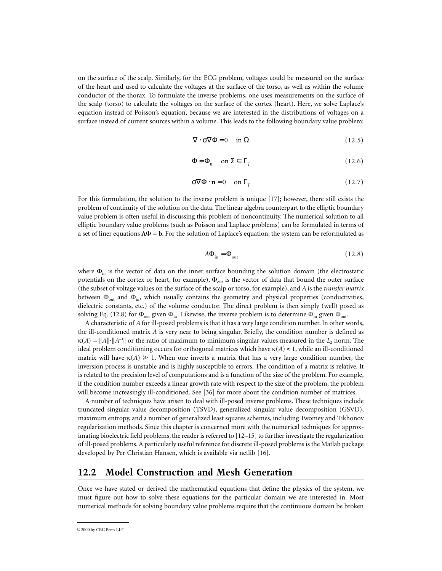<span id="page-3-0"></span>on the surface of the scalp. Similarly, for the ECG problem, voltages could be measured on the surface of the heart and used to calculate the voltages at the surface of the torso, as well as within the volume conductor of the thorax. To formulate the inverse problems, one uses measurements on the surface of the scalp (torso) to calculate the voltages on the surface of the cortex (heart). Here, we solve Laplace's equation instead of Poisson's equation, because we are interested in the distributions of voltages on a surface instead of current sources within a volume. This leads to the following boundary value problem:

$$
\nabla \cdot \sigma \nabla \Phi = 0 \quad \text{in } \Omega \tag{12.5}
$$

$$
\Phi = \Phi_0 \quad \text{on } \Sigma \subseteq \Gamma_T \tag{12.6}
$$

$$
\sigma \nabla \Phi \cdot \mathbf{n} = 0 \quad \text{on } \Gamma_T \tag{12.7}
$$

For this formulation, the solution to the inverse problem is unique [17]; however, there still exists the problem of continuity of the solution on the data. The linear algebra counterpart to the elliptic boundary value problem is often useful in discussing this problem of noncontinuity. The numerical solution to all elliptic boundary value problems (such as Poisson and Laplace problems) can be formulated in terms of a set of liner equations **A**Φ = **b**. For the solution of Laplace's equation, the system can be reformulated as

$$
A\Phi_{\text{in}} = \Phi_{\text{out}} \tag{12.8}
$$

where  $\Phi_{\text{in}}$  is the vector of data on the inner surface bounding the solution domain (the electrostatic potentials on the cortex or heart, for example),  $\Phi_{\text{out}}$  is the vector of data that bound the outer surface (the subset of voltage values on the surface of the scalp or torso, for example), and *A* is the *transfer matrix* between  $\Phi_{\text{out}}$  and  $\Phi_{\text{in}}$ , which usually contains the geometry and physical properties (conductivities, dielectric constants, etc.) of the volume conductor. The direct problem is then simply (well) posed as solving Eq. (12.8) for  $\Phi_{\text{out}}$  given  $\Phi_{\text{in}}$ . Likewise, the inverse problem is to determine  $\Phi_{\text{in}}$  given  $\Phi_{\text{out}}$ .

A characteristic of *A* for ill-posed problems is that it has a very large condition number. In other words, the ill-conditioned matrix *A* is very near to being singular. Briefly, the condition number is defined as  $\kappa(A) = ||A|| \cdot ||A^{-1}||$  or the ratio of maximum to minimum singular values measured in the  $L_2$  norm. The ideal problem conditioning occurs for orthogonal matrices which have  $κ(A) ≈ 1$ , while an ill-conditioned matrix will have  $\kappa(A) \geq 1$ . When one inverts a matrix that has a very large condition number, the inversion process is unstable and is highly susceptible to errors. The condition of a matrix is relative. It is related to the precision level of computations and is a function of the size of the problem. For example, if the condition number exceeds a linear growth rate with respect to the size of the problem, the problem will become increasingly ill-conditioned. See [36] for more about the condition number of matrices.

A number of techniques have arisen to deal with ill-posed inverse problems. These techniques include truncated singular value decomposition (TSVD), generalized singular value decomposition (GSVD), maximum entropy, and a number of generalized least squares schemes, including Twomey and Tikhonov regularization methods. Since this chapter is concerned more with the numerical techniques for approximating bioelectric field problems, the reader is referred to [12–15] to further investigate the regularization of ill-posed problems. A particularly useful reference for discrete ill-posed problems is the Matlab package developed by Per Christian Hansen, which is available via netlib [16].

# **12.2 Model Construction and Mesh Generation**

Once we have stated or derived the mathematical equations that define the physics of the system, we must figure out how to solve these equations for the particular domain we are interested in. Most numerical methods for solving boundary value problems require that the continuous domain be broken

<sup>© 2000</sup> by CRC Press LLC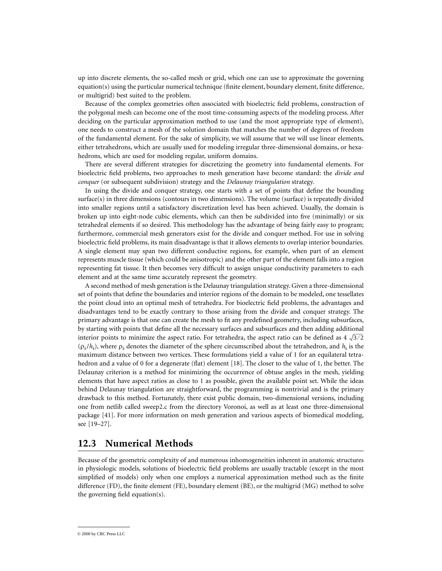<span id="page-4-0"></span>up into discrete elements, the so-called mesh or grid, which one can use to approximate the governing equation(s) using the particular numerical technique (finite element, boundary element, finite difference, or multigrid) best suited to the problem.

Because of the complex geometries often associated with bioelectric field problems, construction of the polygonal mesh can become one of the most time-consuming aspects of the modeling process. After deciding on the particular approximation method to use (and the most appropriate type of element), one needs to construct a mesh of the solution domain that matches the number of degrees of freedom of the fundamental element. For the sake of simplicity, we will assume that we will use linear elements, either tetrahedrons, which are usually used for modeling irregular three-dimensional domains, or hexahedrons, which are used for modeling regular, uniform domains.

There are several different strategies for discretizing the geometry into fundamental elements. For bioelectric field problems, two approaches to mesh generation have become standard: the *divide and conquer* (or subsequent subdivision) strategy and the *Delaunay triangulation* strategy.

In using the divide and conquer strategy, one starts with a set of points that define the bounding surface(s) in three dimensions (contours in two dimensions). The volume (surface) is repeatedly divided into smaller regions until a satisfactory discretization level has been achieved. Usually, the domain is broken up into eight-node cubic elements, which can then be subdivided into five (minimally) or six tetrahedral elements if so desired. This methodology has the advantage of being fairly easy to program; furthermore, commercial mesh generators exist for the divide and conquer method. For use in solving bioelectric field problems, its main disadvantage is that it allows elements to overlap interior boundaries. A single element may span two different conductive regions, for example, when part of an element represents muscle tissue (which could be anisotropic) and the other part of the element falls into a region representing fat tissue. It then becomes very difficult to assign unique conductivity parameters to each element and at the same time accurately represent the geometry.

A second method of mesh generation is the Delaunay triangulation strategy. Given a three-dimensional set of points that define the boundaries and interior regions of the domain to be modeled, one tessellates the point cloud into an optimal mesh of tetrahedra. For bioelectric field problems, the advantages and disadvantages tend to be exactly contrary to those arising from the divide and conquer strategy. The primary advantage is that one can create the mesh to fit any predefined geometry, including subsurfaces, by starting with points that define all the necessary surfaces and subsurfaces and then adding additional interior points to minimize the aspect ratio. For tetrahedra, the aspect ratio can be defined as  $4\sqrt{3}/2$  $(\rho_k/h_k)$ , where  $\rho_k$  denotes the diameter of the sphere circumscribed about the tetrahedron, and  $h_k$  is the maximum distance between two vertices. These formulations yield a value of 1 for an equilateral tetrahedron and a value of 0 for a degenerate (flat) element [18]. The closer to the value of 1, the better. The Delaunay criterion is a method for minimizing the occurrence of obtuse angles in the mesh, yielding elements that have aspect ratios as close to 1 as possible, given the available point set. While the ideas behind Delaunay triangulation are straightforward, the programming is nontrivial and is the primary drawback to this method. Fortunately, there exist public domain, two-dimensional versions, including one from netlib called sweep2.c from the directory Voronoi, as well as at least one three-dimensional package [41]. For more information on mesh generation and various aspects of biomedical modeling, see [19–27].

# **12.3 Numerical Methods**

Because of the geometric complexity of and numerous inhomogeneities inherent in anatomic structures in physiologic models, solutions of bioelectric field problems are usually tractable (except in the most simplified of models) only when one employs a numerical approximation method such as the finite difference (FD), the finite element (FE), boundary element (BE), or the multigrid (MG) method to solve the governing field equation(s).

<sup>© 2000</sup> by CRC Press LLC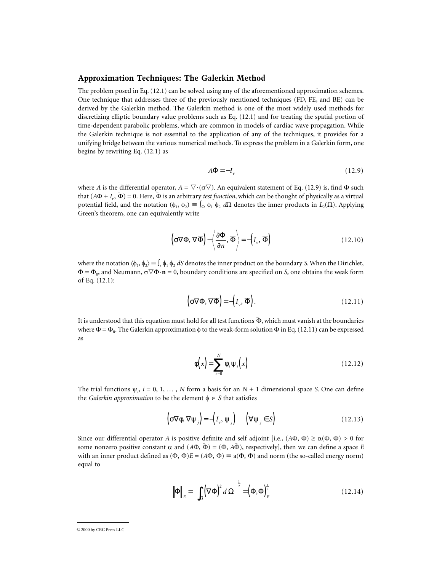## **Approximation Techniques: The Galerkin Method**

The problem posed in Eq. (12.1) can be solved using any of the aforementioned approximation schemes. One technique that addresses three of the previously mentioned techniques (FD, FE, and BE) can be derived by the Galerkin method. The Galerkin method is one of the most widely used methods for discretizing elliptic boundary value problems such as Eq. (12.1) and for treating the spatial portion of time-dependent parabolic problems, which are common in models of cardiac wave propagation. While the Galerkin technique is not essential to the application of any of the techniques, it provides for a unifying bridge between the various numerical methods. To express the problem in a Galerkin form, one begins by rewriting Eq. (12.1) as

$$
A\Phi = -I_v \tag{12.9}
$$

where *A* is the differential operator,  $A = \nabla \cdot (\sigma \nabla)$ . An equivalent statement of Eq. (12.9) is, find  $\Phi$  such that  $(A\Phi + I_v, \bar{\Phi}) = 0$ . Here,  $\bar{\Phi}$  is an arbitrary *test function*, which can be thought of physically as a virtual potential field, and the notation  $(\phi_1, \phi_2) = \int_{\Omega} \phi_1 \phi_2 d\Omega$  denotes the inner products in *L*<sub>2</sub>( $\Omega$ ). Applying Green's theorem, one can equivalently write

$$
\left(\boldsymbol{\sigma}\nabla\boldsymbol{\Phi},\nabla\overline{\boldsymbol{\Phi}}\right)-\left\langle\frac{\partial\boldsymbol{\Phi}}{\partial n},\overline{\boldsymbol{\Phi}}\right\rangle=-\left(I_{\nu},\overline{\boldsymbol{\Phi}}\right)
$$
(12.10)

where the notation  $\langle \phi_1, \phi_2 \rangle = \int_s \phi_1 \phi_2 dS$  denotes the inner product on the boundary *S*. When the Dirichlet,  $\Phi = \Phi_0$ , and Neumann,  $\sigma \nabla \Phi \cdot \mathbf{n} = 0$ , boundary conditions are specified on *S*, one obtains the weak form of Eq. (12.1):

$$
\left(\sigma \nabla \Phi, \nabla \overline{\Phi}\right) = -\left(I_{\nu}, \overline{\Phi}\right). \tag{12.11}
$$

It is understood that this equation must hold for all test functions  $\bar{\Phi}$ , which must vanish at the boundaries where  $\Phi = \Phi_0$ . The Galerkin approximation  $\phi$  to the weak-form solution  $\Phi$  in Eq. (12.11) can be expressed as

$$
\phi\left(x\right) = \sum_{i=0}^{N} \phi_i \psi_i\left(x\right) \tag{12.12}
$$

The trial functions  $\psi_i$ ,  $i = 0, 1, ..., N$  form a basis for an  $N + 1$  dimensional space *S*. One can define the *Galerkin approximation* to be the element  $\phi \in S$  that satisfies

$$
\left(\sigma \nabla \phi, \nabla \psi_j\right) = -\left(I_v, \psi_j\right) \quad \left(\forall \psi_j \in S\right) \tag{12.13}
$$

Since our differential operator *A* is positive definite and self adjoint [i.e.,  $(A\Phi, \Phi) \ge \alpha(\Phi, \Phi) > 0$  for some nonzero positive constant  $\alpha$  and  $(A\Phi, \bar{\Phi}) = (\Phi, A\bar{\Phi})$ , respectively], then we can define a space *E* with an inner product defined as  $(\Phi, \bar{\Phi})E = (A\Phi, \bar{\Phi}) \equiv a(\Phi, \bar{\Phi})$  and norm (the so-called energy norm) equal to

$$
\left\| \Phi \right\|_E = \left\{ \int_{\Omega} \left( \nabla \Phi \right)^2 d\Omega \right\}^{\frac{1}{2}} = \left( \Phi, \Phi \right)^{\frac{1}{2}}_E \tag{12.14}
$$

<sup>© 2000</sup> by CRC Press LLC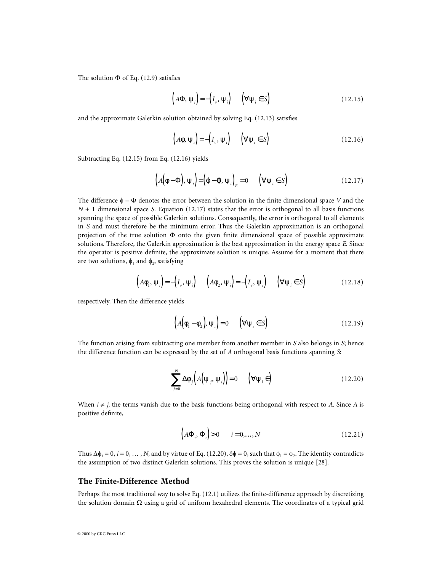The solution  $\Phi$  of Eq. (12.9) satisfies

$$
\left(A\Phi,\psi_i\right) = -\left(I_v,\psi_i\right) \quad \left(\forall\psi_i \in S\right) \tag{12.15}
$$

and the approximate Galerkin solution obtained by solving Eq. (12.13) satisfies

$$
\left(A\phi,\,\psi_i\right) = -\left(I_v,\,\psi_i\right) \quad \left(\forall\,\psi_i \in S\right) \tag{12.16}
$$

Subtracting Eq. (12.15) from Eq. (12.16) yields

$$
\left(A(\phi - \Phi), \psi_i\right) = \left(\phi - \overline{\phi}, \psi_i\right)_E = 0 \qquad \left(\forall \psi_i \in S\right) \tag{12.17}
$$

The difference  $\phi - \Phi$  denotes the error between the solution in the finite dimensional space *V* and the *N* + 1 dimensional space *S*. Equation (12.17) states that the error is orthogonal to all basis functions spanning the space of possible Galerkin solutions. Consequently, the error is orthogonal to all elements in *S* and must therefore be the minimum error. Thus the Galerkin approximation is an orthogonal projection of the true solution Φ onto the given finite dimensional space of possible approximate solutions. Therefore, the Galerkin approximation is the best approximation in the energy space *E*. Since the operator is positive definite, the approximate solution is unique. Assume for a moment that there are two solutions,  $\phi_1$  and  $\phi_2$ , satisfying

$$
\left(A\phi_{1},\psi_{i}\right) = -\left(I_{\nu},\psi_{i}\right) \quad \left(A\phi_{2},\psi_{i}\right) = -\left(I_{\nu},\psi_{i}\right) \quad \left(\forall\psi_{i} \in S\right) \tag{12.18}
$$

respectively. Then the difference yields

$$
\left(A(\phi_1 - \phi_2), \psi_i\right) = 0 \qquad \left(\forall \psi_i \in S\right) \tag{12.19}
$$

The function arising from subtracting one member from another member in *S* also belongs in *S*; hence the difference function can be expressed by the set of *A* orthogonal basis functions spanning *S*:

$$
\sum_{j=0}^{N} \Delta \phi_j \Big( A(\psi_j, \psi_i) \Big) = 0 \qquad (\forall \psi_i \in)
$$
\n(12.20)

When  $i \neq j$ , the terms vanish due to the basis functions being orthogonal with respect to *A*. Since *A* is positive definite,

$$
\left(A\Phi_i, \Phi_i\right) > 0 \qquad i = 0, \dots, N \tag{12.21}
$$

Thus  $\Delta\phi_i = 0$ ,  $i = 0, ..., N$ , and by virtue of Eq. (12.20),  $\delta\phi = 0$ , such that  $\phi_1 = \phi_2$ . The identity contradicts the assumption of two distinct Galerkin solutions. This proves the solution is unique [28].

#### **The Finite-Difference Method**

Perhaps the most traditional way to solve Eq. (12.1) utilizes the finite-difference approach by discretizing the solution domain  $\Omega$  using a grid of uniform hexahedral elements. The coordinates of a typical grid

<sup>© 2000</sup> by CRC Press LLC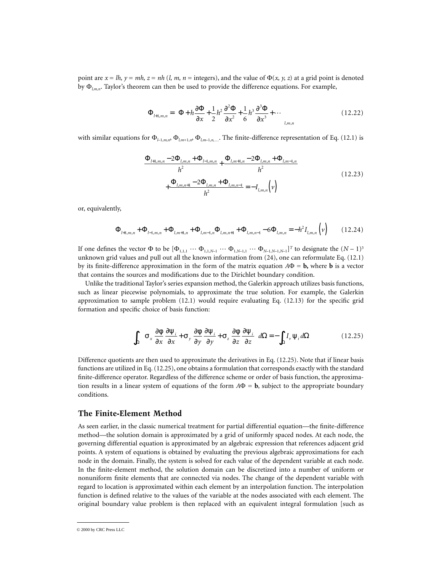point are  $x = lh$ ,  $y = mh$ ,  $z = nh$  (*l, m, n* = integers), and the value of  $\Phi(x, y, z)$  at a grid point is denoted by Φ*l,m,n*. Taylor's theorem can then be used to provide the difference equations. For example,

$$
\Phi_{l+1,m,n} = \left(\Phi + h\frac{\partial\Phi}{\partial x} + \frac{1}{2}h^2\frac{\partial^2\Phi}{\partial x^2} + \frac{1}{6}h^3\frac{\partial^3\Phi}{\partial x^3} + \cdots\right)_{l,m,n} \tag{12.22}
$$

with similar equations for Φ*l*–1,*m,n*, Φ*l,m*+1,*n*, Φ*l,m*–1,*n*,…. The finite-difference representation of Eq. (12.1) is

$$
\frac{\Phi_{l+1,m,n} - 2\Phi_{l,m,n} + \Phi_{l-1,m,n}}{h^2} + \frac{\Phi_{l,m+1,n} - 2\Phi_{l,m,n} + \Phi_{l,m-1,n}}{h^2} + \frac{\Phi_{l,m,n+1} - 2\Phi_{l,m,n} + \Phi_{l,m,n-1}}{h^2} = -I_{l,m,n}(\nu)
$$
\n(12.23)

 $\lambda$ 

or, equivalently,

$$
\Phi_{l+1,m,n} + \Phi_{l-1,m,n} + \Phi_{l,m+1,n} + \Phi_{l,m-1,n} \Phi_{l,m,n+1} + \Phi_{l,m,n-1} - 6\Phi_{l,m,n} = -h^2 I_{l,m,n} \left(\nu\right) \tag{12.24}
$$

If one defines the vector  $\Phi$  to be  $[\Phi_{1,1,1} \cdots \Phi_{1,1,N-1} \cdots \Phi_{1,N-1,1} \cdots \Phi_{N-1,N-1,N-1}]^T$  to designate the  $(N-1)^3$ unknown grid values and pull out all the known information from (24), one can reformulate Eq. (12.1) by its finite-difference approximation in the form of the matrix equation  $A\Phi = \mathbf{b}$ , where **b** is a vector that contains the sources and modifications due to the Dirichlet boundary condition.

Unlike the traditional Taylor's series expansion method, the Galerkin approach utilizes basis functions, such as linear piecewise polynomials, to approximate the true solution. For example, the Galerkin approximation to sample problem (12.1) would require evaluating Eq. (12.13) for the specific grid formation and specific choice of basis function:

$$
\int_{\Omega} \left( \sigma_x \frac{\partial \phi}{\partial x} \frac{\partial \psi_i}{\partial x} + \sigma_y \frac{\partial \phi}{\partial y} \frac{\partial \psi_i}{\partial y} + \sigma_z \frac{\partial \phi}{\partial z} \frac{\partial \psi_i}{\partial z} \right) d\Omega = - \int_{\Omega} I_v \psi_i d\Omega \tag{12.25}
$$

Difference quotients are then used to approximate the derivatives in Eq. (12.25). Note that if linear basis functions are utilized in Eq. (12.25), one obtains a formulation that corresponds exactly with the standard finite-difference operator. Regardless of the difference scheme or order of basis function, the approximation results in a linear system of equations of the form  $A\Phi = \mathbf{b}$ , subject to the appropriate boundary conditions.

#### **The Finite-Element Method**

As seen earlier, in the classic numerical treatment for partial differential equation—the finite-difference method—the solution domain is approximated by a grid of uniformly spaced nodes. At each node, the governing differential equation is approximated by an algebraic expression that references adjacent grid points. A system of equations is obtained by evaluating the previous algebraic approximations for each node in the domain. Finally, the system is solved for each value of the dependent variable at each node. In the finite-element method, the solution domain can be discretized into a number of uniform or nonuniform finite elements that are connected via nodes. The change of the dependent variable with regard to location is approximated within each element by an interpolation function. The interpolation function is defined relative to the values of the variable at the nodes associated with each element. The original boundary value problem is then replaced with an equivalent integral formulation [such as

<sup>© 2000</sup> by CRC Press LLC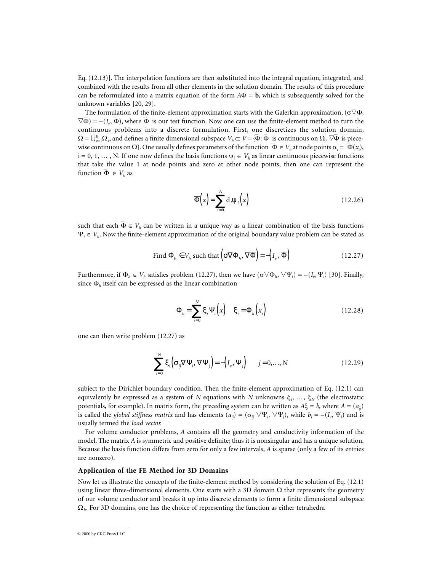Eq. (12.13)]. The interpolation functions are then substituted into the integral equation, integrated, and combined with the results from all other elements in the solution domain. The results of this procedure can be reformulated into a matrix equation of the form  $A\Phi = \mathbf{b}$ , which is subsequently solved for the unknown variables [20, 29].

The formulation of the finite-element approximation starts with the Galerkin approximation, ( $\sigma \nabla \Phi$ ,  $\nabla \overline{\Phi}$ ) = –( $I_{\nu}$ ,  $\overline{\Phi}$ ), where  $\overline{\Phi}$  is our test function. Now one can use the finite-element method to turn the continuous problems into a discrete formulation. First, one discretizes the solution domain,  $\Omega = \bigcup_{e=1}^E \Omega_e$  and defines a finite dimensional subspace  $V_h \subset V = \{ \overline{\Phi} \colon \overline{\Phi} \text{ is continuous on } \Omega, \nabla \overline{\Phi} \text{ is piece-} \}$ wise continuous on  $\Omega$ . One usually defines parameters of the function  $\overline{\Phi} \in V_h$  at node points  $\alpha_i = \overline{\Phi}(x_i)$ ,  $i = 0, 1, \ldots, N$ . If one now defines the basis functions  $\psi_i \in V_h$  as linear continuous piecewise functions that take the value 1 at node points and zero at other node points, then one can represent the function  $\overline{\Phi} \in V_h$  as

$$
\overline{\Phi}\left(x\right) = \sum_{i=0}^{N} d_i \psi_i\left(x\right) \tag{12.26}
$$

such that each  $\bar{\Phi} \in V_h$  can be written in a unique way as a linear combination of the basis functions  $\Psi_i \in V_h$ . Now the finite-element approximation of the original boundary value problem can be stated as

Find 
$$
\Phi_h \in V_h
$$
 such that  $(\sigma \nabla \Phi_h, \nabla \overline{\Phi}) = -(I_v, \overline{\Phi})$  (12.27)

Furthermore, if  $\Phi_h \in V_h$  satisfies problem (12.27), then we have  $(\sigma \nabla \Phi_h, \nabla \Psi_i) = -(I_v, \Psi_i)$  [30]. Finally, since  $\Phi_h$  itself can be expressed as the linear combination

$$
\Phi_h = \sum_{i=0}^{N} \xi_i \Psi_i \left( x \right) \quad \xi_i = \Phi_h \left( x_i \right) \tag{12.28}
$$

one can then write problem (12.27) as

$$
\sum_{i=0}^{N} \xi_i \left( \sigma_{ij} \nabla \Psi_i, \nabla \Psi_j \right) = - \left( I_v, \Psi_j \right) \qquad j = 0, ..., N \qquad (12.29)
$$

subject to the Dirichlet boundary condition. Then the finite-element approximation of Eq. (12.1) can equivalently be expressed as a system of *N* equations with *N* unknowns ξ<sub>*i*</sub>, ..., ξ<sub>*N*</sub> (the electrostatic potentials, for example). In matrix form, the preceding system can be written as  $A\xi = b$ , where  $A = (a_{ij})$ is called the *global stiffness matrix* and has elements  $(a_{ij}) = (\sigma_{ij} \nabla \Psi_i, \nabla \Psi_j)$ , while  $b_i = -(I_i, \Psi_i)$  and is usually termed the *load vector*.

For volume conductor problems, *A* contains all the geometry and conductivity information of the model. The matrix *A* is symmetric and positive definite; thus it is nonsingular and has a unique solution. Because the basis function differs from zero for only a few intervals, *A* is sparse (only a few of its entries are nonzero).

#### **Application of the FE Method for 3D Domains**

Now let us illustrate the concepts of the finite-element method by considering the solution of Eq. (12.1) using linear three-dimensional elements. One starts with a 3D domain  $\Omega$  that represents the geometry of our volume conductor and breaks it up into discrete elements to form a finite dimensional subspace Ω*h*. For 3D domains, one has the choice of representing the function as either tetrahedra

<sup>© 2000</sup> by CRC Press LLC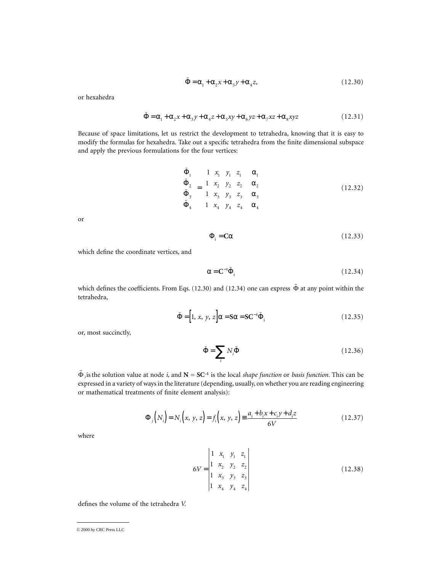$$
\tilde{\Phi} = \alpha_1 + \alpha_2 x + \alpha_3 y + \alpha_4 z,\tag{12.30}
$$

or hexahedra

$$
\tilde{\Phi} = \alpha_1 + \alpha_2 x + \alpha_3 y + \alpha_4 z + \alpha_5 xy + \alpha_6 yz + \alpha_7 xz + \alpha_8 xyz \tag{12.31}
$$

Because of space limitations, let us restrict the development to tetrahedra, knowing that it is easy to modify the formulas for hexahedra. Take out a specific tetrahedra from the finite dimensional subspace and apply the previous formulations for the four vertices:

 $\sim$ 

$$
\begin{pmatrix}\n\tilde{\Phi}_1 \\
\tilde{\Phi}_2 \\
\tilde{\Phi}_3 \\
\tilde{\Phi}_4\n\end{pmatrix} = \begin{pmatrix}\n1 & x_1 & y_1 & z_1 \\
1 & x_2 & y_2 & z_2 \\
1 & x_3 & y_3 & z_3 \\
1 & x_4 & y_4 & z_4\n\end{pmatrix} \begin{pmatrix}\n\alpha_1 \\
\alpha_2 \\
\alpha_3 \\
\alpha_4\n\end{pmatrix}
$$
\n(12.32)

or

$$
\Phi_{i} = C\alpha \tag{12.33}
$$

which define the coordinate vertices, and

$$
\alpha = \mathbf{C}^{-1} \tilde{\Phi}_i \tag{12.34}
$$

which defines the coefficients. From Eqs. (12.30) and (12.34) one can express  $\tilde{\Phi}$  at any point within the tetrahedra,

$$
\tilde{\Phi} = \left[1, x, y, z\right] \alpha = S \alpha = SC^{-1} \tilde{\Phi}_i \tag{12.35}
$$

or, most succinctly,

$$
\tilde{\Phi} = \sum_{i} N_{i} \tilde{\Phi}
$$
 (12.36)

 $\Phi_i$  is the solution value at node *i*, and  $N = SC^{-1}$  is the local *shape function* or *basis function*. This can be expressed in a variety of ways in the literature (depending, usually, on whether you are reading engineering or mathematical treatments of finite element analysis):

$$
\Phi_j\Big(N_i\Big) = N_i\Big(x, y, z\Big) = f_i\Big(x, y, z\Big) \equiv \frac{a_i + b_i x + c_i y + d_i z}{6V}
$$
\n(12.37)

where

$$
6V = \begin{vmatrix} 1 & x_1 & y_1 & z_1 \\ 1 & x_2 & y_2 & z_2 \\ 1 & x_3 & y_3 & z_3 \\ 1 & x_4 & y_4 & z_4 \end{vmatrix}
$$
 (12.38)

defines the volume of the tetrahedra *V.*

<sup>© 2000</sup> by CRC Press LLC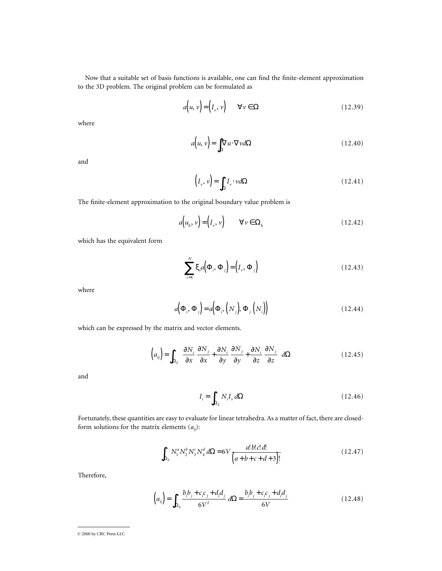Now that a suitable set of basis functions is available, one can find the finite-element approximation to the 3D problem. The original problem can be formulated as

$$
a(u, v) = (I_v, v) \qquad \forall v \in \Omega
$$
\n(12.39)

where

$$
a(u, v) = \int_{\Omega} \nabla u \cdot \nabla v d\Omega \qquad (12.40)
$$

and

$$
(I_{\nu}, \nu) = \int_{\Omega} I_{\nu} \cdot \nu d\Omega \tag{12.41}
$$

The finite-element approximation to the original boundary value problem is

$$
a(u_h, v) = (I_v, v) \qquad \forall v \in \Omega_h \tag{12.42}
$$

which has the equivalent form

$$
\sum_{i=1}^{N} \xi_i a\left(\Phi_i, \Phi_j\right) = \left(I_v, \Phi_j\right) \tag{12.43}
$$

where

$$
a(\Phi_i, \Phi_j) = a(\Phi_i, \left(N_i\right), \Phi_j \left(N_i\right))
$$
\n(12.44)

which can be expressed by the matrix and vector elements.

$$
\left(a_{ij}\right) = \int_{\Omega_E} \left(\frac{\partial N_i}{\partial x} \frac{\partial N_j}{\partial x} + \frac{\partial N_i}{\partial y} \frac{\partial N_j}{\partial y} + \frac{\partial N_i}{\partial z} \frac{\partial N_j}{\partial z}\right) d\Omega \tag{12.45}
$$

and

$$
I_i = \int_{\Omega_E} N_i I_v d\Omega \tag{12.46}
$$

Fortunately, these quantities are easy to evaluate for linear tetrahedra. As a matter of fact, there are closedform solutions for the matrix elements  $(a_{ij})$ :

$$
\int_{\Omega_h} N_1^a N_2^b N_3^c N_4^d d\Omega = 6V \frac{a! \, b! \, c! \, d!}{\left(a+b+c+d+3\right)!} \tag{12.47}
$$

Therefore,

$$
\left(a_{ij}\right) = \int_{\Omega_E} \frac{b_i b_j + c_i c_j + d_i d_j}{6V^2} d\Omega = \frac{b_i b_j + c_i c_j + d_i d_j}{6V} \tag{12.48}
$$

<sup>© 2000</sup> by CRC Press LLC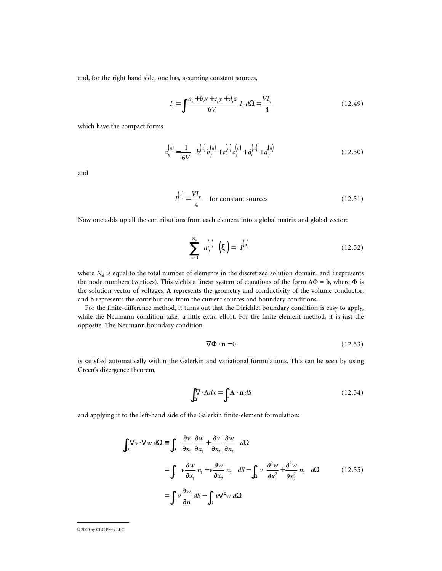and, for the right hand side, one has, assuming constant sources,

$$
I_i = \int \frac{a_i + b_i x + c_i y + d_i z}{6V} I_v d\Omega = \frac{VI_v}{4}
$$
 (12.49)

which have the compact forms

$$
a_{ij}^{(n)} = \frac{1}{6V} \left( b_i^{(n)} b_j^{(n)} + c_i^{(n)} c_j^{(n)} + d_i^{(n)} + d_j^{(n)} \right)
$$
 (12.50)

and

$$
I_i^{(n)} = \frac{VI_v}{4}
$$
 for constant sources (12.51)

Now one adds up all the contributions from each element into a global matrix and global vector:

$$
\sum_{n=1}^{N_{\rm el}} \left( a_{ij}^{(n)} \right) \left( \xi_i \right) = \left( I_i^{(n)} \right) \tag{12.52}
$$

where  $N_{el}$  is equal to the total number of elements in the discretized solution domain, and *i* represents the node numbers (vertices). This yields a linear system of equations of the form  $A\Phi = b$ , where  $\Phi$  is the solution vector of voltages, **A** represents the geometry and conductivity of the volume conductor, and **b** represents the contributions from the current sources and boundary conditions.

For the finite-difference method, it turns out that the Dirichlet boundary condition is easy to apply, while the Neumann condition takes a little extra effort. For the finite-element method, it is just the opposite. The Neumann boundary condition

$$
\nabla \Phi \cdot \mathbf{n} = 0 \tag{12.53}
$$

is satisfied automatically within the Galerkin and variational formulations. This can be seen by using Green's divergence theorem,

$$
\int_{\Omega} \nabla \cdot \mathbf{A} dx = \int_{\Gamma} \mathbf{A} \cdot \mathbf{n} dS
$$
 (12.54)

and applying it to the left-hand side of the Galerkin finite-element formulation:

$$
\int_{\Omega} \nabla v \cdot \nabla w \, d\Omega = \int_{\Omega} \left( \frac{\partial v}{\partial x_1} \frac{\partial w}{\partial x_1} + \frac{\partial v}{\partial x_2} \frac{\partial w}{\partial x_2} \right) d\Omega
$$
\n
$$
= \int_{\Gamma} \left( v \frac{\partial w}{\partial x_1} n_1 + v \frac{\partial w}{\partial x_2} n_2 \right) dS - \int_{\Omega} v \left( \frac{\partial^2 w}{\partial x_1^2} + \frac{\partial^2 w}{\partial x_2^2} n_2 \right) d\Omega \qquad (12.55)
$$
\n
$$
= \int_{\Gamma} v \frac{\partial w}{\partial n} dS - \int_{\Omega} v \nabla^2 w \, d\Omega
$$

© 2000 by CRC Press LLC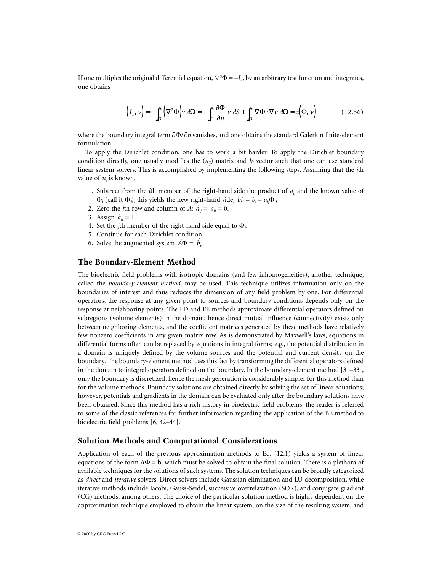If one multiples the original differential equation,  $\nabla^2 \Phi = -I_{\nu}$ , by an arbitrary test function and integrates, one obtains

$$
\left(I_{\nu}, \nu\right) = -\int_{\Omega} \left(\nabla^2 \Phi\right) \nu \, d\Omega = -\int_{\Gamma} \frac{\partial \Phi}{\partial n} \nu \, dS + \int_{\Omega} \nabla \Phi \cdot \nabla \nu \, d\Omega = a\Big(\Phi, \nu\Big) \tag{12.56}
$$

where the boundary integral term ∂Φ/∂*n* vanishes, and one obtains the standard Galerkin finite-element formulation.

To apply the Dirichlet condition, one has to work a bit harder. To apply the Dirichlet boundary condition directly, one usually modifies the  $(a_{ij})$  matrix and  $b_i$  vector such that one can use standard linear system solvers. This is accomplished by implementing the following steps. Assuming that the *i*th value of  $u_i$  is known,

- 1. Subtract from the *i*th member of the right-hand side the product of *aij* and the known value of  $\Phi_i$  (call it  $\bar{\Phi}_i$ ); this yields the new right-hand side,  $\hat{bi}_i = b_i - a_{ij} \bar{\Phi}_j$
- 2. Zero the *i*th row and column of *A*:  $\hat{a}_{ij} = \hat{a}_{ji} = 0$ .
- 3. Assign  $\hat{a}_{ii} = 1$ .
- 4. Set the *j*th member of the right-hand side equal to Φ*<sup>i</sup>* .
- 5. Continue for each Dirichlet condition.
- 6. Solve the augmented system  $\hat{A}\Phi = \hat{b}_r$ .

## **The Boundary-Element Method**

The bioelectric field problems with isotropic domains (and few inhomogeneities), another technique, called the *boundary-element method,* may be used. This technique utilizes information only on the boundaries of interest and thus reduces the dimension of any field problem by one. For differential operators, the response at any given point to sources and boundary conditions depends only on the response at neighboring points. The FD and FE methods approximate differential operators defined on subregions (volume elements) in the domain; hence direct mutual influence (connectivity) exists only between neighboring elements, and the coefficient matrices generated by these methods have relatively few nonzero coefficients in any given matrix row. As is demonstrated by Maxwell's laws, equations in differential forms often can be replaced by equations in integral forms; e.g., the potential distribution in a domain is uniquely defined by the volume sources and the potential and current density on the boundary. The boundary-element method uses this fact by transforming the differential operators defined in the domain to integral operators defined on the boundary. In the boundary-element method [31–33], only the boundary is discretized; hence the mesh generation is considerably simpler for this method than for the volume methods. Boundary solutions are obtained directly by solving the set of linear equations; however, potentials and gradients in the domain can be evaluated only after the boundary solutions have been obtained. Since this method has a rich history in bioelectric field problems, the reader is referred to some of the classic references for further information regarding the application of the BE method to bioelectric field problems [6, 42–44].

#### **Solution Methods and Computational Considerations**

Application of each of the previous approximation methods to Eq. (12.1) yields a system of linear equations of the form **A**Φ **= b**, which must be solved to obtain the final solution. There is a plethora of available techniques for the solutions of such systems. The solution techniques can be broadly categorized as *direct* and *iterative* solvers. Direct solvers include Gaussian elimination and LU decomposition, while iterative methods include Jacobi, Gauss-Seidel, successive overrelaxation (SOR), and conjugate gradient (CG) methods, among others. The choice of the particular solution method is highly dependent on the approximation technique employed to obtain the linear system, on the size of the resulting system, and

<sup>© 2000</sup> by CRC Press LLC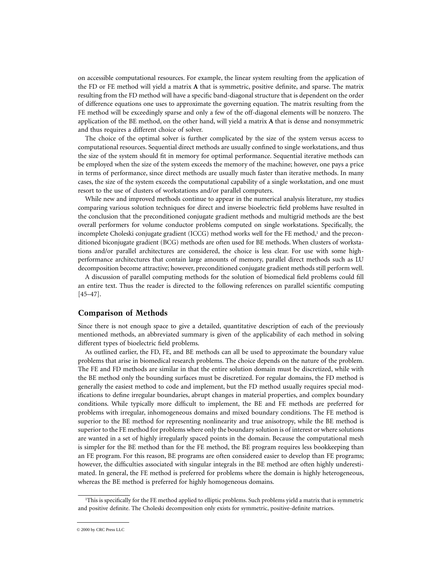on accessible computational resources. For example, the linear system resulting from the application of the FD or FE method will yield a matrix **A** that is symmetric, positive definite, and sparse. The matrix resulting from the FD method will have a specific band-diagonal structure that is dependent on the order of difference equations one uses to approximate the governing equation. The matrix resulting from the FE method will be exceedingly sparse and only a few of the off-diagonal elements will be nonzero. The application of the BE method, on the other hand, will yield a matrix **A** that is dense and nonsymmetric and thus requires a different choice of solver.

The choice of the optimal solver is further complicated by the size of the system versus access to computational resources. Sequential direct methods are usually confined to single workstations, and thus the size of the system should fit in memory for optimal performance. Sequential iterative methods can be employed when the size of the system exceeds the memory of the machine; however, one pays a price in terms of performance, since direct methods are usually much faster than iterative methods. In many cases, the size of the system exceeds the computational capability of a single workstation, and one must resort to the use of clusters of workstations and/or parallel computers.

While new and improved methods continue to appear in the numerical analysis literature, my studies comparing various solution techniques for direct and inverse bioelectric field problems have resulted in the conclusion that the preconditioned conjugate gradient methods and multigrid methods are the best overall performers for volume conductor problems computed on single workstations. Specifically, the incomplete Choleski conjugate gradient (ICCG) method works well for the FE method,<sup>1</sup> and the preconditioned biconjugate gradient (BCG) methods are often used for BE methods. When clusters of workstations and/or parallel architectures are considered, the choice is less clear. For use with some highperformance architectures that contain large amounts of memory, parallel direct methods such as LU decomposition become attractive; however, preconditioned conjugate gradient methods still perform well.

A discussion of parallel computing methods for the solution of biomedical field problems could fill an entire text. Thus the reader is directed to the following references on parallel scientific computing [45–47].

#### **Comparison of Methods**

Since there is not enough space to give a detailed, quantitative description of each of the previously mentioned methods, an abbreviated summary is given of the applicability of each method in solving different types of bioelectric field problems.

As outlined earlier, the FD, FE, and BE methods can all be used to approximate the boundary value problems that arise in biomedical research problems. The choice depends on the nature of the problem. The FE and FD methods are similar in that the entire solution domain must be discretized, while with the BE method only the bounding surfaces must be discretized. For regular domains, the FD method is generally the easiest method to code and implement, but the FD method usually requires special modifications to define irregular boundaries, abrupt changes in material properties, and complex boundary conditions. While typically more difficult to implement, the BE and FE methods are preferred for problems with irregular, inhomogeneous domains and mixed boundary conditions. The FE method is superior to the BE method for representing nonlinearity and true anisotropy, while the BE method is superior to the FE method for problems where only the boundary solution is of interest or where solutions are wanted in a set of highly irregularly spaced points in the domain. Because the computational mesh is simpler for the BE method than for the FE method, the BE program requires less bookkeeping than an FE program. For this reason, BE programs are often considered easier to develop than FE programs; however, the difficulties associated with singular integrals in the BE method are often highly underestimated. In general, the FE method is preferred for problems where the domain is highly heterogeneous, whereas the BE method is preferred for highly homogeneous domains.

<sup>1</sup> This is specifically for the FE method applied to elliptic problems. Such problems yield a matrix that is symmetric and positive definite. The Choleski decomposition only exists for symmetric, positive-definite matrices.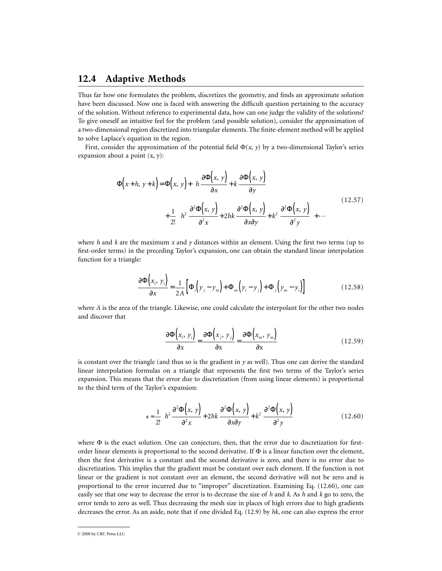## <span id="page-14-0"></span>**12.4 Adaptive Methods**

Thus far how one formulates the problem, discretizes the geometry, and finds an approximate solution have been discussed. Now one is faced with answering the difficult question pertaining to the accuracy of the solution. Without reference to experimental data, how can one judge the validity of the solutions? To give oneself an intuitive feel for the problem (and possible solution), consider the approximation of a two-dimensional region discretized into triangular elements. The finite-element method will be applied to solve Laplace's equation in the region.

First, consider the approximation of the potential field Φ(*x, y*) by a two-dimensional Taylor's series expansion about a point (x, y):

$$
\Phi(x+h, y+k) = \Phi(x, y) + \left[ h \frac{\partial \Phi(x, y)}{\partial x} + k \frac{\partial \Phi(x, y)}{\partial y} \right] + \frac{1}{2!} \left[ h^2 \frac{\partial^2 \Phi(x, y)}{\partial^2 x} + 2hk \frac{\partial^2 \Phi(x, y)}{\partial x \partial y} + k^2 \frac{\partial^2 \Phi(x, y)}{\partial^2 y} \right] + \cdots
$$
\n(12.57)

where *h* and *k* are the maximum *x* and *y* distances within an element. Using the first two terms (up to first-order terms) in the preceding Taylor's expansion, one can obtain the standard linear interpolation function for a triangle:

$$
\frac{\partial \Phi(x_i, y_i)}{\partial x} = \frac{1}{2A} \left[ \Phi_i \left( y_j - y_m \right) + \Phi_m \left( y_i - y_j \right) + \Phi_j \left( y_m - y_i \right) \right]
$$
(12.58)

where *A* is the area of the triangle. Likewise, one could calculate the interpolant for the other two nodes and discover that

$$
\frac{\partial \Phi(x_i, y_i)}{\partial x} = \frac{\partial \Phi(x_j, y_j)}{\partial x} = \frac{\partial \Phi(x_m, y_m)}{\partial x}
$$
\n(12.59)

is constant over the triangle (and thus so is the gradient in  $y$  as well). Thus one can derive the standard linear interpolation formulas on a triangle that represents the first two terms of the Taylor's series expansion. This means that the error due to discretization (from using linear elements) is proportional to the third term of the Taylor's expansion:

$$
\epsilon \approx \frac{1}{2!} \left[ h^2 \frac{\partial^2 \Phi(x, y)}{\partial^2 x} + 2hk \frac{\partial^2 \Phi(x, y)}{\partial x \partial y} + k^2 \frac{\partial^2 \Phi(x, y)}{\partial^2 y} \right]
$$
(12.60)

where  $\Phi$  is the exact solution. One can conjecture, then, that the error due to discretization for firstorder linear elements is proportional to the second derivative. If  $\Phi$  is a linear function over the element, then the first derivative is a constant and the second derivative is zero, and there is no error due to discretization. This implies that the gradient must be constant over each element. If the function is not linear or the gradient is not constant over an element, the second derivative will not be zero and is proportional to the error incurred due to "improper" discretization. Examining Eq. (12.60), one can easily see that one way to decrease the error is to decrease the size of *h* and *k*. As *h* and *k* go to zero, the error tends to zero as well. Thus decreasing the mesh size in places of high errors due to high gradients decreases the error. As an aside, note that if one divided Eq. (12.9) by *hk,* one can also express the error

<sup>© 2000</sup> by CRC Press LLC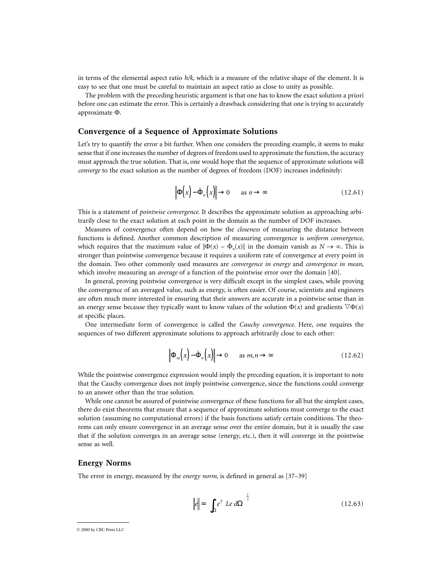in terms of the elemental aspect ratio *h/k,* which is a measure of the relative shape of the element. It is easy to see that one must be careful to maintain an aspect ratio as close to unity as possible.

The problem with the preceding heuristic argument is that one has to know the exact solution a priori before one can estimate the error. This is certainly a drawback considering that one is trying to accurately approximate Φ.

#### **Convergence of a Sequence of Approximate Solutions**

Let's try to quantify the error a bit further. When one considers the preceding example, it seems to make sense that if one increases the number of degrees of freedom used to approximate the function, the accuracy must approach the true solution. That is, one would hope that the sequence of approximate solutions will *converge* to the exact solution as the number of degrees of freedom (DOF) increases indefinitely:

$$
\left\| \Phi(x) - \tilde{\Phi}_n(x) \right\| \to 0 \quad \text{as } n \to \infty \tag{12.61}
$$

This is a statement of *pointwise convergence*. It describes the approximate solution as approaching arbitrarily close to the exact solution at each point in the domain as the number of DOF increases.

Measures of convergence often depend on how the *closeness* of measuring the distance between functions is defined. Another common description of measuring convergence is *uniform convergence,* which requires that the maximum value of  $\|\Phi(x) - \tilde{\Phi}_n(x)\|$  in the domain vanish as  $N \to \infty$ . This is stronger than pointwise convergence because it requires a uniform rate of convergence at every point in the domain. Two other commonly used measures are *convergence in energy* and *convergence in mean,* which involve measuring an *average* of a function of the pointwise error over the domain [40].

In general, proving pointwise convergence is very difficult except in the simplest cases, while proving the convergence of an averaged value, such as energy, is often easier. Of course, scientists and engineers are often much more interested in ensuring that their answers are accurate in a pointwise sense than in an energy sense because they typically want to know values of the solution  $\Phi(x)$  and gradients  $\nabla \Phi(x)$ at specific places.

One intermediate form of convergence is called the *Cauchy convergence.* Here, one requires the sequences of two different approximate solutions to approach arbitrarily close to each other:

$$
\left\| \Phi_m \left( x \right) - \tilde{\Phi}_n \left( x \right) \right\| \to 0 \quad \text{as } m, n \to \infty \tag{12.62}
$$

While the pointwise convergence expression would imply the preceding equation, it is important to note that the Cauchy convergence does not imply pointwise convergence, since the functions could converge to an answer other than the true solution.

While one cannot be assured of pointwise convergence of these functions for all but the simplest cases, there do exist theorems that ensure that a sequence of approximate solutions must converge to the exact solution (assuming no computational errors) if the basis functions satisfy certain conditions. The theorems can only ensure convergence in an average sense over the entire domain, but it is usually the case that if the solution converges in an average sense (energy, etc.), then it will converge in the pointwise sense as well.

#### **Energy Norms**

The error in energy, measured by the *energy norm,* is defined in general as [37–39]

$$
\left\|e\right\| = \left(\int_{\Omega} e^T Le \, d\Omega\right)^{\frac{1}{2}}\tag{12.63}
$$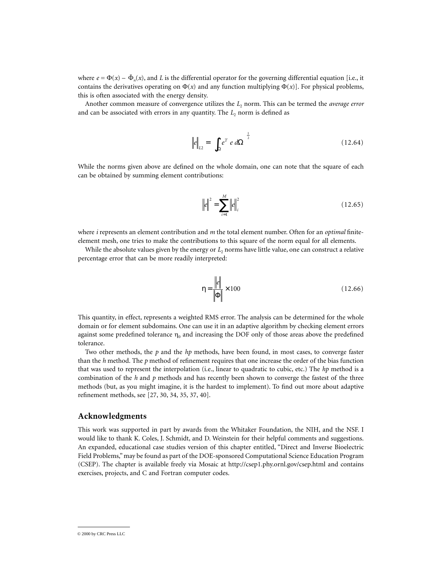where  $e = \Phi(x) - \tilde{\Phi}_n(x)$ , and *L* is the differential operator for the governing differential equation [i.e., it contains the derivatives operating on  $\Phi(x)$  and any function multiplying  $\Phi(x)$ ]. For physical problems, this is often associated with the energy density.

Another common measure of convergence utilizes the *L*<sub>2</sub> norm. This can be termed the *average error* and can be associated with errors in any quantity. The  $L_2$  norm is defined as

$$
\left\|e\right\|_{L2} = \left(\int_{\Omega} e^T \ e \ d\Omega\right)^{\frac{1}{2}} \tag{12.64}
$$

While the norms given above are defined on the whole domain, one can note that the square of each can be obtained by summing element contributions:

$$
\left\|e\right\|^2 = \sum_{i=1}^M \left\|e\right\|_i^2 \tag{12.65}
$$

where *i* represents an element contribution and *m* the total element number. Often for an *optimal* finiteelement mesh, one tries to make the contributions to this square of the norm equal for all elements.

While the absolute values given by the energy or *L*<sub>2</sub> norms have little value, one can construct a relative percentage error that can be more readily interpreted:

$$
\eta = \frac{\left\|e\right\|}{\left\|\Phi\right\|} \times 100\tag{12.66}
$$

This quantity, in effect, represents a weighted RMS error. The analysis can be determined for the whole domain or for element subdomains. One can use it in an adaptive algorithm by checking element errors against some predefined tolerance  $\eta_0$  and increasing the DOF only of those areas above the predefined tolerance.

Two other methods, the *p* and the *hp* methods, have been found, in most cases, to converge faster than the *h* method. The *p* method of refinement requires that one increase the order of the bias function that was used to represent the interpolation (i.e., linear to quadratic to cubic, etc.) The *hp* method is a combination of the *h* and *p* methods and has recently been shown to converge the fastest of the three methods (but, as you might imagine, it is the hardest to implement). To find out more about adaptive refinement methods, see [27, 30, 34, 35, 37, 40].

#### **Acknowledgments**

This work was supported in part by awards from the Whitaker Foundation, the NIH, and the NSF. I would like to thank K. Coles, J. Schmidt, and D. Weinstein for their helpful comments and suggestions. An expanded, educational case studies version of this chapter entitled, "Direct and Inverse Bioelectric Field Problems," may be found as part of the DOE-sponsored Computational Science Education Program (CSEP). The chapter is available freely via Mosaic at http://csep1.phy.ornl.gov/csep.html and contains exercises, projects, and C and Fortran computer codes.

<sup>© 2000</sup> by CRC Press LLC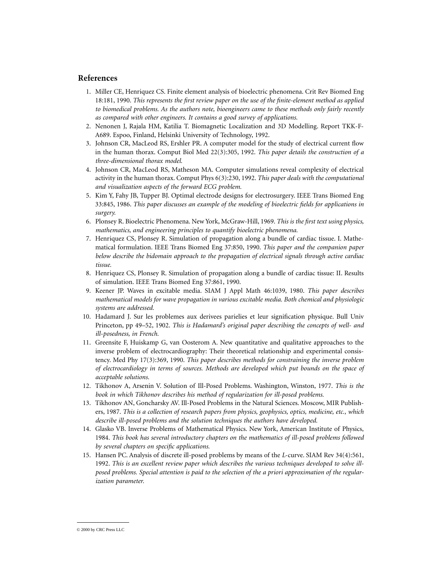## **References**

- 1. Miller CE, Henriquez CS. Finite element analysis of bioelectric phenomena. Crit Rev Biomed Eng 18:181, 1990. *This represents the first review paper on the use of the finite-element method as applied to biomedical problems. As the authors note, bioengineers came to these methods only fairly recently as compared with other engineers. It contains a good survey of applications.*
- 2. Nenonen J, Rajala HM, Katilia T. Biomagnetic Localization and 3D Modelling. Report TKK-F-A689. Espoo, Finland, Helsinki University of Technology, 1992.
- 3. Johnson CR, MacLeod RS, Ershler PR. A computer model for the study of electrical current flow in the human thorax. Comput Biol Med 22(3):305, 1992. *This paper details the construction of a three-dimensional thorax model.*
- 4. Johnson CR, MacLeod RS, Matheson MA. Computer simulations reveal complexity of electrical activity in the human thorax. Comput Phys 6(3):230, 1992. *This paper deals with the computational and visualization aspects of the forward ECG problem.*
- 5. Kim Y, Fahy JB, Tupper BJ. Optimal electrode designs for electrosurgery. IEEE Trans Biomed Eng 33:845, 1986. *This paper discusses an example of the modeling of bioelectric fields for applications in surgery.*
- 6. Plonsey R. Bioelectric Phenomena. New York, McGraw-Hill, 1969. *This is the first text using physics, mathematics, and engineering principles to quantify bioelectric phenomena.*
- 7. Henriquez CS, Plonsey R. Simulation of propagation along a bundle of cardiac tissue. I. Mathematical formulation. IEEE Trans Biomed Eng 37:850, 1990. *This paper and the companion paper below describe the bidomain approach to the propagation of electrical signals through active cardiac tissue.*
- 8. Henriquez CS, Plonsey R. Simulation of propagation along a bundle of cardiac tissue: II. Results of simulation. IEEE Trans Biomed Eng 37:861, 1990.
- 9. Keener JP. Waves in excitable media. SIAM J Appl Math 46:1039, 1980. *This paper describes mathematical models for wave propagation in various excitable media. Both chemical and physiologic systems are addressed.*
- 10. Hadamard J. Sur les problemes aux derivees parielies et leur signification physique. Bull Univ Princeton, pp 49–52, 1902. *This is Hadamard's original paper describing the concepts of well- and ill-posedness, in French.*
- 11. Greensite F, Huiskamp G, van Oosterom A. New quantitative and qualitative approaches to the inverse problem of electrocardiography: Their theoretical relationship and experimental consistency. Med Phy 17(3):369, 1990. *This paper describes methods for constraining the inverse problem of electrocardiology in terms of sources. Methods are developed which put bounds on the space of acceptable solutions.*
- 12. Tikhonov A, Arsenin V. Solution of Ill-Posed Problems. Washington, Winston, 1977. *This is the book in which Tikhonov describes his method of regularization for ill-posed problems.*
- 13. Tikhonov AN, Goncharsky AV. Ill-Posed Problems in the Natural Sciences. Moscow, MIR Publishers, 1987. *This is a collection of research papers from physics, geophysics, optics, medicine, etc., which describe ill-posed problems and the solution techniques the authors have developed.*
- 14. Glasko VB. Inverse Problems of Mathematical Physics. New York, American Institute of Physics, 1984. *This book has several introductory chapters on the mathematics of ill-posed problems followed by several chapters on specific applications.*
- 15. Hansen PC. Analysis of discrete ill-posed problems by means of the *L*-curve. SIAM Rev 34(4):561, 1992. *This is an excellent review paper which describes the various techniques developed to solve illposed problems. Special attention is paid to the selection of the a priori approximation of the regularization parameter.*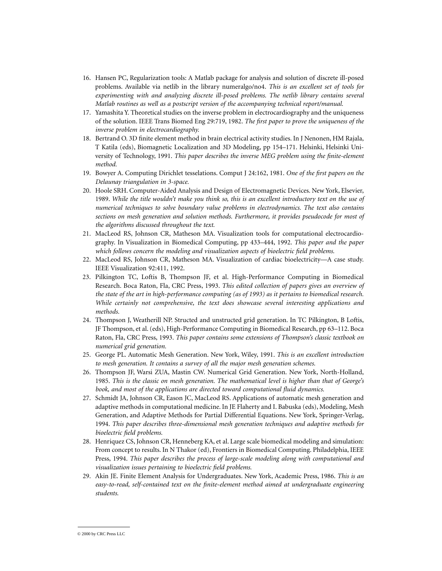- 16. Hansen PC, Regularization tools: A Matlab package for analysis and solution of discrete ill-posed problems. Available via netlib in the library numeralgo/no4. *This is an excellent set of tools for experimenting with and analyzing discrete ill-posed problems. The netlib library contains several Matlab routines as well as a postscript version of the accompanying technical report/manual.*
- 17. Yamashita Y. Theoretical studies on the inverse problem in electrocardiography and the uniqueness of the solution. IEEE Trans Biomed Eng 29:719, 1982. *The first paper to prove the uniqueness of the inverse problem in electrocardiography.*
- 18. Bertrand O. 3D finite element method in brain electrical activity studies. In J Nenonen, HM Rajala, T Katila (eds), Biomagnetic Localization and 3D Modeling, pp 154–171. Helsinki, Helsinki University of Technology, 1991. *This paper describes the inverse MEG problem using the finite-element method.*
- 19. Bowyer A. Computing Dirichlet tesselations. Comput J 24:162, 1981. *One of the first papers on the Delaunay triangulation in 3-space.*
- 20. Hoole SRH. Computer-Aided Analysis and Design of Electromagnetic Devices. New York, Elsevier, 1989. *While the title wouldn't make you think so, this is an excellent introductory text on the use of numerical techniques to solve boundary value problems in electrodynamics. The text also contains sections on mesh generation and solution methods. Furthermore, it provides pseudocode for most of the algorithms discussed throughout the text.*
- 21. MacLeod RS, Johnson CR, Matheson MA. Visualization tools for computational electrocardiography. In Visualization in Biomedical Computing, pp 433–444, 1992. *This paper and the paper which follows concern the modeling and visualization aspects of bioelectric field problems.*
- 22. MacLeod RS, Johnson CR, Matheson MA. Visualization of cardiac bioelectricity—A case study. IEEE Visualization 92:411, 1992.
- 23. Pilkington TC, Loftis B, Thompson JF, et al. High-Performance Computing in Biomedical Research. Boca Raton, Fla, CRC Press, 1993. *This edited collection of papers gives an overview of the state of the art in high-performance computing (as of 1993) as it pertains to biomedical research. While certainly not comprehensive, the text does showcase several interesting applications and methods.*
- 24. Thompson J, Weatherill NP. Structed and unstructed grid generation. In TC Pilkington, B Loftis, JF Thompson, et al. (eds), High-Performance Computing in Biomedical Research, pp 63–112. Boca Raton, Fla, CRC Press, 1993. *This paper contains some extensions of Thompson's classic textbook on numerical grid generation.*
- 25. George PL. Automatic Mesh Generation. New York, Wiley, 1991. *This is an excellent introduction to mesh generation. It contains a survey of all the major mesh generation schemes.*
- 26. Thompson JF, Warsi ZUA, Mastin CW. Numerical Grid Generation. New York, North-Holland, 1985. *This is the classic on mesh generation. The mathematical level is higher than that of George's book, and most of the applications are directed toward computational fluid dynamics.*
- 27. Schmidt JA, Johnson CR, Eason JC, MacLeod RS. Applications of automatic mesh generation and adaptive methods in computational medicine. In JE Flaherty and I. Babuska (eds), Modeling, Mesh Generation, and Adaptive Methods for Partial Differential Equations. New York, Springer-Verlag, 1994. *This paper describes three-dimensional mesh generation techniques and adaptive methods for bioelectric field problems.*
- 28. Henriquez CS, Johnson CR, Henneberg KA, et al. Large scale biomedical modeling and simulation: From concept to results. In N Thakor (ed), Frontiers in Biomedical Computing. Philadelphia, IEEE Press, 1994. *This paper describes the process of large-scale modeling along with computational and visualization issues pertaining to bioelectric field problems.*
- 29. Akin JE. Finite Element Analysis for Undergraduates. New York, Academic Press, 1986. *This is an easy-to-read, self-contained text on the finite-element method aimed at undergraduate engineering students.*

<sup>© 2000</sup> by CRC Press LLC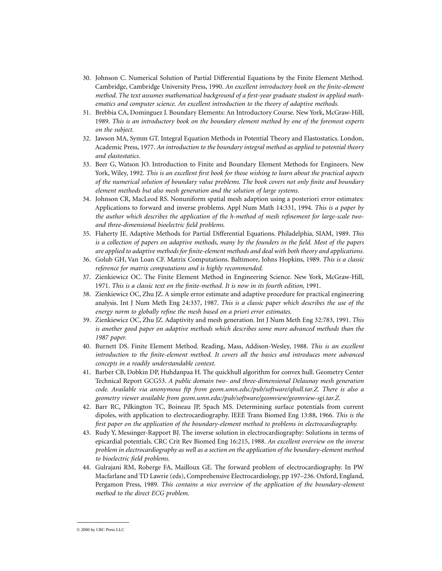- 30. Johnson C. Numerical Solution of Partial Differential Equations by the Finite Element Method. Cambridge, Cambridge University Press, 1990. *An excellent introductory book on the finite-element method. The text assumes mathematical background of a first-year graduate student in applied mathematics and computer science. An excellent introduction to the theory of adaptive methods.*
- 31. Brebbia CA, Dominguez J. Boundary Elements: An Introductory Course. New York, McGraw-Hill, 1989. *This is an introductory book on the boundary element method by one of the foremost experts on the subject.*
- 32. Jawson MA, Symm GT. Integral Equation Methods in Potential Theory and Elastostatics. London, Academic Press, 1977. *An introduction to the boundary integral method as applied to potential theory and elastostatics.*
- 33. Beer G, Watson JO. Introduction to Finite and Boundary Element Methods for Engineers. New York, Wiley, 1992. *This is an excellent first book for those wishing to learn about the practical aspects of the numerical solution of boundary value problems. The book covers not only finite and boundary element methods but also mesh generation and the solution of large systems.*
- 34. Johnson CR, MacLeod RS. Nonuniform spatial mesh adaption using a posteriori error estimates: Applications to forward and inverse problems. Appl Num Math 14:331, 1994. *This is a paper by the author which describes the application of the h-method of mesh refinement for large-scale twoand three-dimensional bioelectric field problems.*
- 35. Flaherty JE. Adaptive Methods for Partial Differential Equations. Philadelphia, SIAM, 1989. *This is a collection of papers on adaptive methods, many by the founders in the field. Most of the papers are applied to adaptive methods for finite-element methods and deal with both theory and applications.*
- 36. Golub GH, Van Loan CF. Matrix Computations. Baltimore, Johns Hopkins, 1989. *This is a classic reference for matrix computations and is highly recommended.*
- 37. Zienkiewicz OC. The Finite Element Method in Engineering Science. New York, McGraw-Hill, 1971. *This is a classic text on the finite-method. It is now in its fourth edition,* 1991.
- 38. Zienkiewicz OC, Zhu JZ. A simple error estimate and adaptive procedure for practical engineering analysis. Int J Num Meth Eng 24:337, 1987. *This is a classic paper which describes the use of the energy norm to globally refine the mesh based on a priori error estimates.*
- 39. Zienkiewicz OC, Zhu JZ. Adaptivity and mesh generation. Int J Num Meth Eng 32:783, 1991. *This is another good paper on adaptive methods which describes some more advanced methods than the 1987 paper.*
- 40. Burnett DS. Finite Element Method. Reading, Mass, Addison-Wesley, 1988. *This is an excellent introduction to the finite-element method. It covers all the basics and introduces more advanced concepts in a readily understandable context.*
- 41. Barber CB, Dobkin DP, Huhdanpaa H. The quickhull algorithm for convex hull. Geometry Center Technical Report GCG53. *A public domain two- and three-dimensional Delaunay mesh generation code. Available via anonymous ftp from geom.umn.edu:/pub/software/qhull.tar.Z. There is also a geometry viewer available from geom.umn.edu:/pub/software/geomview/geomview-sgi.tar.Z.*
- 42. Barr RC, Pilkington TC, Boineau JP, Spach MS. Determining surface potentials from current dipoles, with application to electrocardiography. IEEE Trans Biomed Eng 13:88, 1966. *This is the first paper on the application of the boundary-element method to problems in electrocardiography.*
- 43. Rudy Y, Messinger-Rapport BJ. The inverse solution in electrocardiography: Solutions in terms of epicardial potentials. CRC Crit Rev Biomed Eng 16:215, 1988. *An excellent overview on the inverse problem in electrocardiography as well as a section on the application of the boundary-element method to bioelectric field problems.*
- 44. Gulrajani RM, Roberge FA, Mailloux GE. The forward problem of electrocardiography. In PW Macfarlane and TD Lawrie (eds), Comprehensive Electrocardiology, pp 197–236. Oxford, England, Pergamon Press, 1989. *This contains a nice overview of the application of the boundary-element method to the direct ECG problem.*